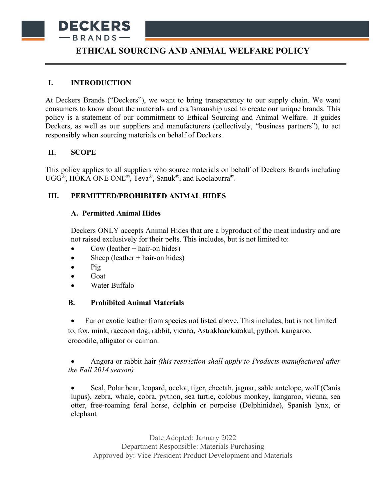

# **ETHICAL SOURCING AND ANIMAL WELFARE POLICY**

## **I. INTRODUCTION**

At Deckers Brands ("Deckers"), we want to bring transparency to our supply chain. We want consumers to know about the materials and craftsmanship used to create our unique brands. This policy is a statement of our commitment to Ethical Sourcing and Animal Welfare. It guides Deckers, as well as our suppliers and manufacturers (collectively, "business partners"), to act responsibly when sourcing materials on behalf of Deckers.

## **II. SCOPE**

This policy applies to all suppliers who source materials on behalf of Deckers Brands including UGG®, HOKA ONE ONE®, Teva®, Sanuk®, and Koolaburra®.

# **III. PERMITTED/PROHIBITED ANIMAL HIDES**

## **A. Permitted Animal Hides**

Deckers ONLY accepts Animal Hides that are a byproduct of the meat industry and are not raised exclusively for their pelts. This includes, but is not limited to:

- Cow (leather  $+$  hair-on hides)
- Sheep (leather  $+$  hair-on hides)
- $\bullet$  Pig
- Goat
- Water Buffalo

## **B. Prohibited Animal Materials**

• Fur or exotic leather from species not listed above. This includes, but is not limited to, fox, mink, raccoon dog, rabbit, vicuna, Astrakhan/karakul, python, kangaroo, crocodile, alligator or caiman.

# • Angora or rabbit hair *(this restriction shall apply to Products manufactured after the Fall 2014 season)*

• Seal, Polar bear, leopard, ocelot, tiger, cheetah, jaguar, sable antelope, wolf (Canis lupus), zebra, whale, cobra, python, sea turtle, colobus monkey, kangaroo, vicuna, sea otter, free-roaming feral horse, dolphin or porpoise (Delphinidae), Spanish lynx, or elephant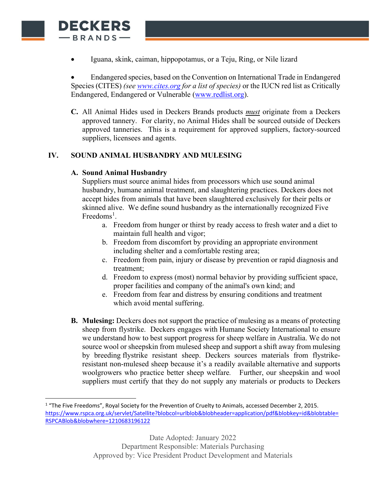

• Endangered species, based on the Convention on International Trade in Endangered Species (CITES) *(se[e www.cites.org](http://www.cites.org/) for a list of species)* or the IUCN red list as Critically Endangered, Endangered or Vulnerable [\(www.redlist.org\)](http://www.redlist.org/).

**C.** All Animal Hides used in Deckers Brands products *must* originate from a Deckers approved tannery. For clarity, no Animal Hides shall be sourced outside of Deckers approved tanneries. This is a requirement for approved suppliers, factory-sourced suppliers, licensees and agents.

# **IV. SOUND ANIMAL HUSBANDRY AND MULESING**

# **A. Sound Animal Husbandry**

**DECKERS** -BRANDS-

> Suppliers must source animal hides from processors which use sound animal husbandry, humane animal treatment, and slaughtering practices. Deckers does not accept hides from animals that have been slaughtered exclusively for their pelts or skinned alive. We define sound husbandry as the internationally recognized Five Freedoms<sup>[1](#page-1-0)</sup>.

- a. Freedom from hunger or thirst by ready access to fresh water and a diet to maintain full health and vigor;
- b. Freedom from discomfort by providing an appropriate environment including shelter and a comfortable resting area;
- c. Freedom from pain, injury or disease by prevention or rapid diagnosis and treatment;
- d. Freedom to express (most) normal behavior by providing sufficient space, proper facilities and company of the animal's own kind; and
- e. Freedom from fear and distress by ensuring conditions and treatment which avoid mental suffering.
- **B. Mulesing:** Deckers does not support the practice of mulesing as a means of protecting sheep from flystrike. Deckers engages with Humane Society International to ensure we understand how to best support progress for sheep welfare in Australia. We do not source wool or sheepskin from mulesed sheep and support a shift away from mulesing by breeding flystrike resistant sheep. Deckers sources materials from flystrikeresistant non-mulesed sheep because it's a readily available alternative and supports woolgrowers who practice better sheep welfare*.* Further, our sheepskin and wool suppliers must certify that they do not supply any materials or products to Deckers

<span id="page-1-0"></span><sup>&</sup>lt;sup>1</sup> "The Five Freedoms", Royal Society for the Prevention of Cruelty to Animals, accessed December 2, 2015. [https://www.rspca.org.uk/servlet/Satellite?blobcol=urlblob&blobheader=application/pdf&blobkey=id&blobtable=](https://www.rspca.org.uk/servlet/Satellite?blobcol=urlblob&blobheader=application/pdf&blobkey=id&blobtable=RSPCABlob&blobwhere=1210683196122) [RSPCABlob&blobwhere=1210683196122](https://www.rspca.org.uk/servlet/Satellite?blobcol=urlblob&blobheader=application/pdf&blobkey=id&blobtable=RSPCABlob&blobwhere=1210683196122)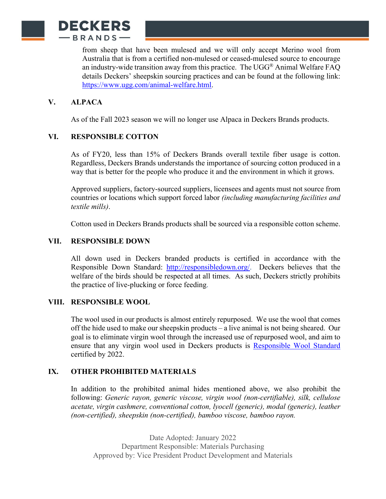

from sheep that have been mulesed and we will only accept Merino wool from Australia that is from a certified non-mulesed or ceased-mulesed source to encourage an industry-wide transition away from this practice. The  $UGG^{\circledast}$  Animal Welfare FAQ details Deckers' sheepskin sourcing practices and can be found at the following link: [https://www.ugg.com/animal-welfare.html.](https://www.ugg.com/animal-welfare.html)

## **V. ALPACA**

As of the Fall 2023 season we will no longer use Alpaca in Deckers Brands products.

#### **VI. RESPONSIBLE COTTON**

As of FY20, less than 15% of Deckers Brands overall textile fiber usage is cotton. Regardless, Deckers Brands understands the importance of sourcing cotton produced in a way that is better for the people who produce it and the environment in which it grows.

Approved suppliers, factory-sourced suppliers, licensees and agents must not source from countries or locations which support forced labor *(including manufacturing facilities and textile mills)*.

Cotton used in Deckers Brands products shall be sourced via a responsible cotton scheme.

#### **VII. RESPONSIBLE DOWN**

All down used in Deckers branded products is certified in accordance with the Responsible Down Standard: [http://responsibledown.org/.](http://responsibledown.org/) Deckers believes that the welfare of the birds should be respected at all times. As such, Deckers strictly prohibits the practice of live-plucking or force feeding.

#### **VIII. RESPONSIBLE WOOL**

The wool used in our products is almost entirely repurposed. We use the wool that comes off the hide used to make our sheepskin products – a live animal is not being sheared. Our goal is to eliminate virgin wool through the increased use of repurposed wool, and aim to ensure that any virgin wool used in Deckers products is [Responsible Wool Standard](https://textileexchange.org/standards/responsible-wool/) certified by 2022.

#### **IX. OTHER PROHIBITED MATERIALS**

In addition to the prohibited animal hides mentioned above, we also prohibit the following: *Generic rayon, generic viscose, virgin wool (non-certifiable), silk, cellulose acetate, virgin cashmere, conventional cotton, lyocell (generic), modal (generic), leather (non-certified), sheepskin (non-certified), bamboo viscose, bamboo rayon.*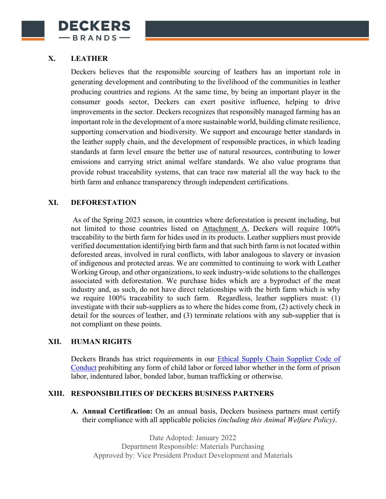

# **X. LEATHER**

Deckers believes that the responsible sourcing of leathers has an important role in generating development and contributing to the livelihood of the communities in leather producing countries and regions. At the same time, by being an important player in the consumer goods sector, Deckers can exert positive influence, helping to drive improvements in the sector. Deckers recognizes that responsibly managed farming has an important role in the development of a more sustainable world, building climate resilience, supporting conservation and biodiversity. We support and encourage better standards in the leather supply chain, and the development of responsible practices, in which leading standards at farm level ensure the better use of natural resources, contributing to lower emissions and carrying strict animal welfare standards. We also value programs that provide robust traceability systems, that can trace raw material all the way back to the birth farm and enhance transparency through independent certifications.

#### **XI. DEFORESTATION**

As of the Spring 2023 season, in countries where deforestation is present including, but not limited to those countries listed on Attachment A, Deckers will require 100% traceability to the birth farm for hides used in its products. Leather suppliers must provide verified documentation identifying birth farm and that such birth farm is not located within deforested areas, involved in rural conflicts, with labor analogous to slavery or invasion of indigenous and protected areas. We are committed to continuing to work with Leather Working Group, and other organizations, to seek industry-wide solutions to the challenges associated with deforestation. We purchase hides which are a byproduct of the meat industry and, as such, do not have direct relationships with the birth farm which is why we require 100% traceability to such farm. Regardless, leather suppliers must: (1) investigate with their sub-suppliers as to where the hides come from, (2) actively check in detail for the sources of leather, and (3) terminate relations with any sub-supplier that is not compliant on these points.

#### **XII. HUMAN RIGHTS**

Deckers Brands has strict requirements in our [Ethical Supply Chain Supplier Code of](http://www.deckers.com/sites/default/files/pdf/Ethical%20Supply%20Chain%20Supplier%20Code%20of%20Conduct.pdf)  [Conduct](http://www.deckers.com/sites/default/files/pdf/Ethical%20Supply%20Chain%20Supplier%20Code%20of%20Conduct.pdf) prohibiting any form of child labor or forced labor whether in the form of prison labor, indentured labor, bonded labor, human trafficking or otherwise.

#### **XIII. RESPONSIBILITIES OF DECKERS BUSINESS PARTNERS**

**A. Annual Certification:** On an annual basis, Deckers business partners must certify their compliance with all applicable policies *(including this Animal Welfare Policy)*.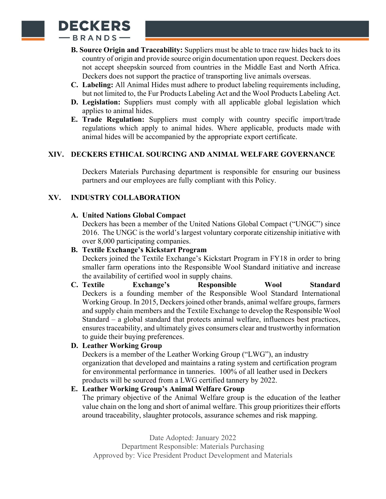

- **B. Source Origin and Traceability:** Suppliers must be able to trace raw hides back to its country of origin and provide source origin documentation upon request. Deckers does not accept sheepskin sourced from countries in the Middle East and North Africa. Deckers does not support the practice of transporting live animals overseas.
- **C. Labeling:** All Animal Hides must adhere to product labeling requirements including, but not limited to, the Fur Products Labeling Act and the Wool Products Labeling Act.
- **D. Legislation:** Suppliers must comply with all applicable global legislation which applies to animal hides.
- **E. Trade Regulation:** Suppliers must comply with country specific import/trade regulations which apply to animal hides. Where applicable, products made with animal hides will be accompanied by the appropriate export certificate.

## **XIV. DECKERS ETHICAL SOURCING AND ANIMAL WELFARE GOVERNANCE**

Deckers Materials Purchasing department is responsible for ensuring our business partners and our employees are fully compliant with this Policy.

## **XV. INDUSTRY COLLABORATION**

#### **A. United Nations Global Compact**

Deckers has been a member of the United Nations Global Compact ("UNGC") since 2016. The UNGC is the world's largest voluntary corporate citizenship initiative with over 8,000 participating companies.

## **B. Textile Exchange's Kickstart Program**

Deckers joined the Textile Exchange's Kickstart Program in FY18 in order to bring smaller farm operations into the Responsible Wool Standard initiative and increase the availability of certified wool in supply chains.

**C. Textile Exchange's Responsible Wool Standard**  Deckers is a founding member of the Responsible Wool Standard International Working Group. In 2015, Deckers joined other brands, animal welfare groups, farmers and supply chain members and the Textile Exchange to develop the Responsible Wool Standard – a global standard that protects animal welfare, influences best practices, ensures traceability, and ultimately gives consumers clear and trustworthy information to guide their buying preferences.

## **D. Leather Working Group**

Deckers is a member of the Leather Working Group ("LWG"), an industry organization that developed and maintains a rating system and certification program for environmental performance in tanneries. 100% of all leather used in Deckers products will be sourced from a LWG certified tannery by 2022.

## **E. Leather Working Group's Animal Welfare Group**

The primary objective of the Animal Welfare group is the education of the leather value chain on the long and short of animal welfare. This group prioritizes their efforts around traceability, slaughter protocols, assurance schemes and risk mapping.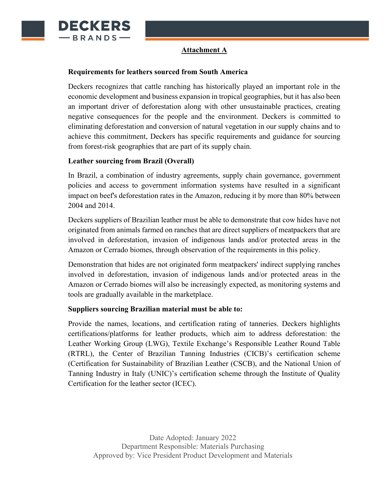

## **Attachment A**

#### **Requirements for leathers sourced from South America**

Deckers recognizes that cattle ranching has historically played an important role in the economic development and business expansion in tropical geographies, but it has also been an important driver of deforestation along with other unsustainable practices, creating negative consequences for the people and the environment. Deckers is committed to eliminating deforestation and conversion of natural vegetation in our supply chains and to achieve this commitment, Deckers has specific requirements and guidance for sourcing from forest-risk geographies that are part of its supply chain.

## **Leather sourcing from Brazil (Overall)**

In Brazil, a combination of industry agreements, supply chain governance, government policies and access to government information systems have resulted in a significant impact on beef's deforestation rates in the Amazon, reducing it by more than 80% between 2004 and 2014.

Deckers suppliers of Brazilian leather must be able to demonstrate that cow hides have not originated from animals farmed on ranches that are direct suppliers of meatpackers that are involved in deforestation, invasion of indigenous lands and/or protected areas in the Amazon or Cerrado biomes, through observation of the requirements in this policy.

Demonstration that hides are not originated form meatpackers' indirect supplying ranches involved in deforestation, invasion of indigenous lands and/or protected areas in the Amazon or Cerrado biomes will also be increasingly expected, as monitoring systems and tools are gradually available in the marketplace.

## **Suppliers sourcing Brazilian material must be able to:**

Provide the names, locations, and certification rating of tanneries. Deckers highlights certifications/platforms for leather products, which aim to address deforestation: the Leather Working Group (LWG), Textile Exchange's Responsible Leather Round Table (RTRL), the Center of Brazilian Tanning Industries (CICB)'s certification scheme (Certification for Sustainability of Brazilian Leather (CSCB), and the National Union of Tanning Industry in Italy (UNIC)'s certification scheme through the Institute of Quality Certification for the leather sector (ICEC).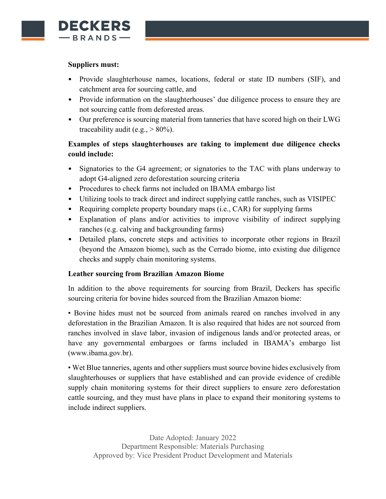

#### **Suppliers must:**

- Provide slaughterhouse names, locations, federal or state ID numbers (SIF), and catchment area for sourcing cattle, and
- Provide information on the slaughterhouses' due diligence process to ensure they are not sourcing cattle from deforested areas.
- Our preference is sourcing material from tanneries that have scored high on their LWG traceability audit (e.g.,  $> 80\%$ ).

# **Examples of steps slaughterhouses are taking to implement due diligence checks could include:**

- Signatories to the G4 agreement; or signatories to the TAC with plans underway to adopt G4-aligned zero deforestation sourcing criteria
- Procedures to check farms not included on IBAMA embargo list
- Utilizing tools to track direct and indirect supplying cattle ranches, such as VISIPEC
- Requiring complete property boundary maps (i.e., CAR) for supplying farms
- Explanation of plans and/or activities to improve visibility of indirect supplying ranches (e.g. calving and backgrounding farms)
- Detailed plans, concrete steps and activities to incorporate other regions in Brazil (beyond the Amazon biome), such as the Cerrado biome, into existing due diligence checks and supply chain monitoring systems.

## **Leather sourcing from Brazilian Amazon Biome**

In addition to the above requirements for sourcing from Brazil, Deckers has specific sourcing criteria for bovine hides sourced from the Brazilian Amazon biome:

• Bovine hides must not be sourced from animals reared on ranches involved in any deforestation in the Brazilian Amazon. It is also required that hides are not sourced from ranches involved in slave labor, invasion of indigenous lands and/or protected areas, or have any governmental embargoes or farms included in IBAMA's embargo list (www.ibama.gov.br).

• Wet Blue tanneries, agents and other suppliers must source bovine hides exclusively from slaughterhouses or suppliers that have established and can provide evidence of credible supply chain monitoring systems for their direct suppliers to ensure zero deforestation cattle sourcing, and they must have plans in place to expand their monitoring systems to include indirect suppliers.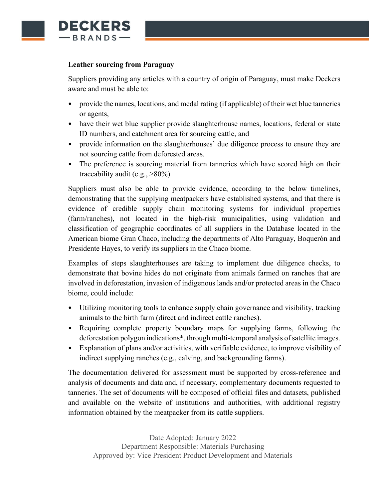

#### **Leather sourcing from Paraguay**

Suppliers providing any articles with a country of origin of Paraguay, must make Deckers aware and must be able to:

- provide the names, locations, and medal rating (if applicable) of their wet blue tanneries or agents,
- have their wet blue supplier provide slaughterhouse names, locations, federal or state ID numbers, and catchment area for sourcing cattle, and
- provide information on the slaughterhouses' due diligence process to ensure they are not sourcing cattle from deforested areas.
- The preference is sourcing material from tanneries which have scored high on their traceability audit (e.g.,  $>80\%$ )

Suppliers must also be able to provide evidence, according to the below timelines, demonstrating that the supplying meatpackers have established systems, and that there is evidence of credible supply chain monitoring systems for individual properties (farm/ranches), not located in the high-risk municipalities, using validation and classification of geographic coordinates of all suppliers in the Database located in the American biome Gran Chaco, including the departments of Alto Paraguay, Boquerón and Presidente Hayes, to verify its suppliers in the Chaco biome.

Examples of steps slaughterhouses are taking to implement due diligence checks, to demonstrate that bovine hides do not originate from animals farmed on ranches that are involved in deforestation, invasion of indigenous lands and/or protected areas in the Chaco biome, could include:

- Utilizing monitoring tools to enhance supply chain governance and visibility, tracking animals to the birth farm (direct and indirect cattle ranches).
- Requiring complete property boundary maps for supplying farms, following the deforestation polygon indications\*, through multi-temporal analysis of satellite images.
- Explanation of plans and/or activities, with verifiable evidence, to improve visibility of indirect supplying ranches (e.g., calving, and backgrounding farms).

The documentation delivered for assessment must be supported by cross-reference and analysis of documents and data and, if necessary, complementary documents requested to tanneries. The set of documents will be composed of official files and datasets, published and available on the website of institutions and authorities, with additional registry information obtained by the meatpacker from its cattle suppliers.